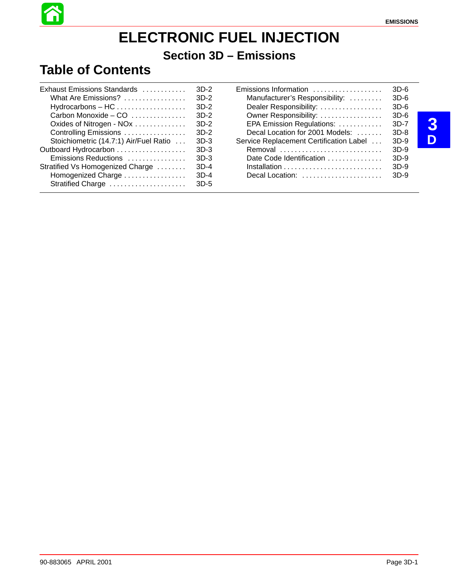# **ELECTRONIC FUEL INJECTION**

### **Section 3D – Emissions**

### **Table of Contents**

| Exhaust Emissions Standards                             | $3D-2$ | Emissions Information                   | $3D-6$ |
|---------------------------------------------------------|--------|-----------------------------------------|--------|
| What Are Emissions?                                     | $3D-2$ | Manufacturer's Responsibility:          | $3D-6$ |
| $Hydrocarbons - HC \dots \dots \dots \dots \dots \dots$ | $3D-2$ | Dealer Responsibility:                  | $3D-6$ |
| Carbon Monoxide $-$ CO $\dots\dots\dots\dots$           | 3D-2   | Owner Responsibility:                   | $3D-6$ |
| Oxides of Nitrogen - NOx                                | 3D-2   | EPA Emission Regulations:               | $3D-7$ |
| Controlling Emissions                                   | $3D-2$ | Decal Location for 2001 Models:         | 3D-8   |
| Stoichiometric (14.7:1) Air/Fuel Ratio                  | 3D-3   | Service Replacement Certification Label | 3D-9   |
| Outboard Hydrocarbon                                    | $3D-3$ | Removal                                 | $3D-9$ |
| Emissions Reductions                                    | $3D-3$ | Date Code Identification                | $3D-9$ |
| Stratified Vs Homogenized Charge                        | $3D-4$ |                                         | $3D-9$ |
| Homogenized Charge                                      | $3D-4$ | Decal Location:                         | $3D-9$ |
| Stratified Charge                                       | $3D-5$ |                                         |        |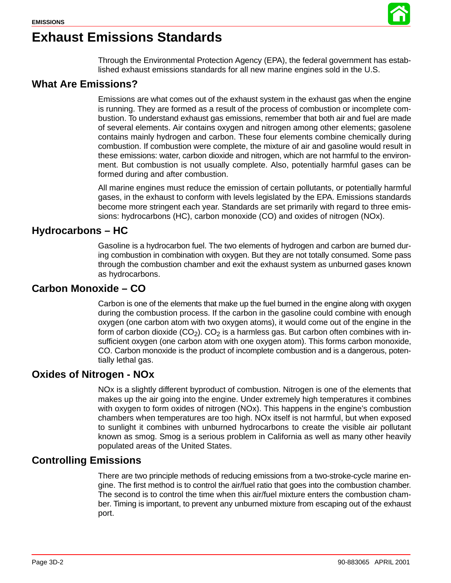

### **Exhaust Emissions Standards**

Through the Environmental Protection Agency (EPA), the federal government has established exhaust emissions standards for all new marine engines sold in the U.S.

### **What Are Emissions?**

Emissions are what comes out of the exhaust system in the exhaust gas when the engine is running. They are formed as a result of the process of combustion or incomplete combustion. To understand exhaust gas emissions, remember that both air and fuel are made of several elements. Air contains oxygen and nitrogen among other elements; gasolene contains mainly hydrogen and carbon. These four elements combine chemically during combustion. If combustion were complete, the mixture of air and gasoline would result in these emissions: water, carbon dioxide and nitrogen, which are not harmful to the environment. But combustion is not usually complete. Also, potentially harmful gases can be formed during and after combustion.

All marine engines must reduce the emission of certain pollutants, or potentially harmful gases, in the exhaust to conform with levels legislated by the EPA. Emissions standards become more stringent each year. Standards are set primarily with regard to three emissions: hydrocarbons (HC), carbon monoxide (CO) and oxides of nitrogen (NOx).

### **Hydrocarbons – HC**

Gasoline is a hydrocarbon fuel. The two elements of hydrogen and carbon are burned during combustion in combination with oxygen. But they are not totally consumed. Some pass through the combustion chamber and exit the exhaust system as unburned gases known as hydrocarbons.

### **Carbon Monoxide – CO**

Carbon is one of the elements that make up the fuel burned in the engine along with oxygen during the combustion process. If the carbon in the gasoline could combine with enough oxygen (one carbon atom with two oxygen atoms), it would come out of the engine in the form of carbon dioxide  $(CO<sub>2</sub>)$ .  $CO<sub>2</sub>$  is a harmless gas. But carbon often combines with insufficient oxygen (one carbon atom with one oxygen atom). This forms carbon monoxide, CO. Carbon monoxide is the product of incomplete combustion and is a dangerous, potentially lethal gas.

### **Oxides of Nitrogen - NOx**

NOx is a slightly different byproduct of combustion. Nitrogen is one of the elements that makes up the air going into the engine. Under extremely high temperatures it combines with oxygen to form oxides of nitrogen (NOx). This happens in the engine's combustion chambers when temperatures are too high. NOx itself is not harmful, but when exposed to sunlight it combines with unburned hydrocarbons to create the visible air pollutant known as smog. Smog is a serious problem in California as well as many other heavily populated areas of the United States.

### **Controlling Emissions**

There are two principle methods of reducing emissions from a two-stroke-cycle marine engine. The first method is to control the air/fuel ratio that goes into the combustion chamber. The second is to control the time when this air/fuel mixture enters the combustion chamber. Timing is important, to prevent any unburned mixture from escaping out of the exhaust port.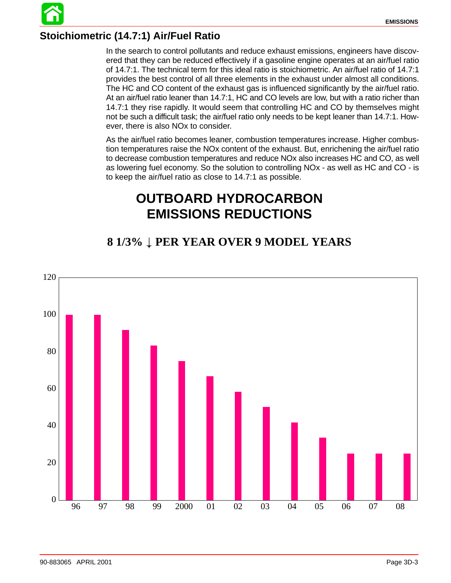### **Stoichiometric (14.7:1) Air/Fuel Ratio**

In the search to control pollutants and reduce exhaust emissions, engineers have discovered that they can be reduced effectively if a gasoline engine operates at an air/fuel ratio of 14.7:1. The technical term for this ideal ratio is stoichiometric. An air/fuel ratio of 14.7:1 provides the best control of all three elements in the exhaust under almost all conditions. The HC and CO content of the exhaust gas is influenced significantly by the air/fuel ratio. At an air/fuel ratio leaner than 14.7:1, HC and CO levels are low, but with a ratio richer than 14.7:1 they rise rapidly. It would seem that controlling HC and CO by themselves might not be such a difficult task; the air/fuel ratio only needs to be kept leaner than 14.7:1. However, there is also NOx to consider.

As the air/fuel ratio becomes leaner, combustion temperatures increase. Higher combustion temperatures raise the NOx content of the exhaust. But, enrichening the air/fuel ratio to decrease combustion temperatures and reduce NOx also increases HC and CO, as well as lowering fuel economy. So the solution to controlling NOx - as well as HC and CO - is to keep the air/fuel ratio as close to 14.7:1 as possible.

### **OUTBOARD HYDROCARBON EMISSIONS REDUCTIONS**

### **8 1/3% PER YEAR OVER 9 MODEL YEARS**

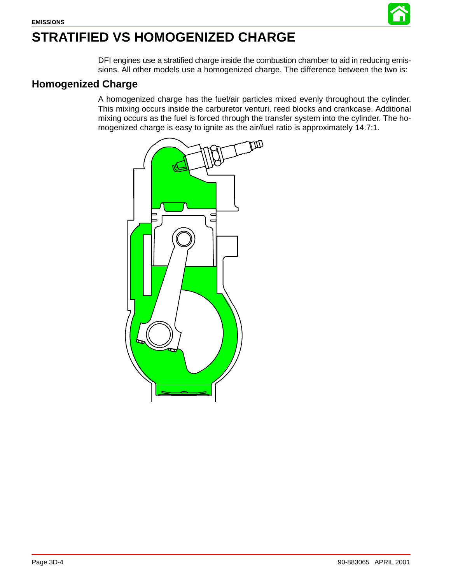

# <span id="page-3-0"></span>**STRATIFIED VS HOMOGENIZED CHARGE**

DFI engines use a stratified charge inside the combustion chamber to aid in reducing emissions. All other models use a homogenized charge. The difference between the two is:

### **Homogenized Charge**

A homogenized charge has the fuel/air particles mixed evenly throughout the cylinder. This mixing occurs inside the carburetor venturi, reed blocks and crankcase. Additional mixing occurs as the fuel is forced through the transfer system into the cylinder. The homogenized charge is easy to ignite as the air/fuel ratio is approximately 14.7:1.

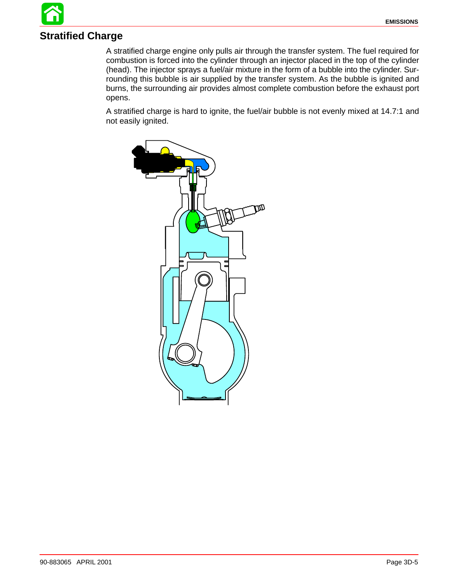## **Stratified Charge**

A stratified charge engine only pulls air through the transfer system. The fuel required for combustion is forced into the cylinder through an injector placed in the top of the cylinder (head). The injector sprays a fuel/air mixture in the form of a bubble into the cylinder. Surrounding this bubble is air supplied by the transfer system. As the bubble is ignited and burns, the surrounding air provides almost complete combustion before the exhaust port opens.

A stratified charge is hard to ignite, the fuel/air bubble is not evenly mixed at 14.7:1 and not easily ignited.

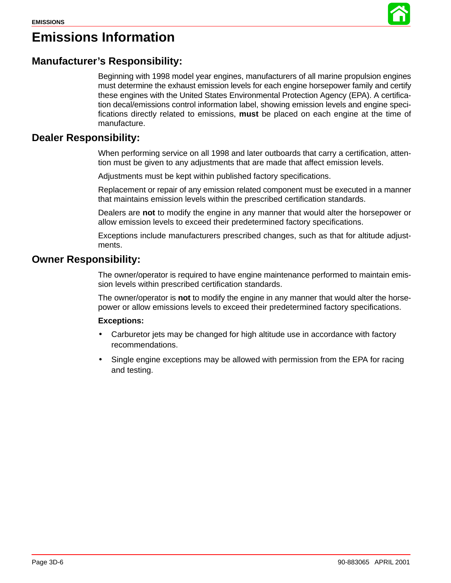

### **Emissions Information**

### **Manufacturer's Responsibility:**

Beginning with 1998 model year engines, manufacturers of all marine propulsion engines must determine the exhaust emission levels for each engine horsepower family and certify these engines with the United States Environmental Protection Agency (EPA). A certification decal/emissions control information label, showing emission levels and engine specifications directly related to emissions, **must** be placed on each engine at the time of manufacture.

#### **Dealer Responsibility:**

When performing service on all 1998 and later outboards that carry a certification, attention must be given to any adjustments that are made that affect emission levels.

Adjustments must be kept within published factory specifications.

Replacement or repair of any emission related component must be executed in a manner that maintains emission levels within the prescribed certification standards.

Dealers are **not** to modify the engine in any manner that would alter the horsepower or allow emission levels to exceed their predetermined factory specifications.

Exceptions include manufacturers prescribed changes, such as that for altitude adjustments.

### **Owner Responsibility:**

The owner/operator is required to have engine maintenance performed to maintain emission levels within prescribed certification standards.

The owner/operator is **not** to modify the engine in any manner that would alter the horsepower or allow emissions levels to exceed their predetermined factory specifications.

#### **Exceptions:**

- Carburetor jets may be changed for high altitude use in accordance with factory recommendations.
- Single engine exceptions may be allowed with permission from the EPA for racing and testing.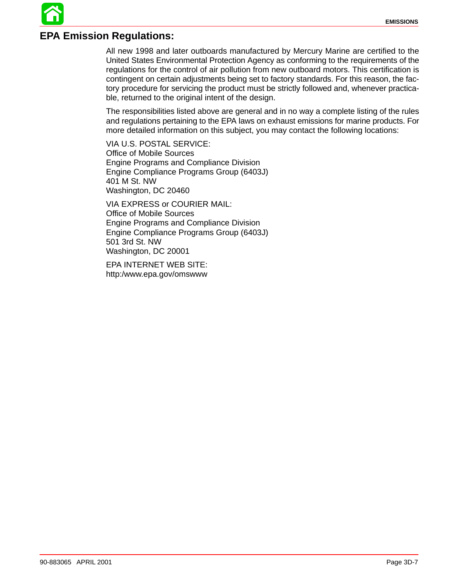### **EPA Emission Regulations:**

All new 1998 and later outboards manufactured by Mercury Marine are certified to the United States Environmental Protection Agency as conforming to the requirements of the regulations for the control of air pollution from new outboard motors. This certification is contingent on certain adjustments being set to factory standards. For this reason, the factory procedure for servicing the product must be strictly followed and, whenever practicable, returned to the original intent of the design.

The responsibilities listed above are general and in no way a complete listing of the rules and regulations pertaining to the EPA laws on exhaust emissions for marine products. For more detailed information on this subject, you may contact the following locations:

VIA U.S. POSTAL SERVICE: Office of Mobile Sources Engine Programs and Compliance Division Engine Compliance Programs Group (6403J) 401 M St. NW Washington, DC 20460

VIA EXPRESS or COURIER MAIL: Office of Mobile Sources Engine Programs and Compliance Division Engine Compliance Programs Group (6403J) 501 3rd St. NW Washington, DC 20001

EPA INTERNET WEB SITE: http:/www.epa.gov/omswww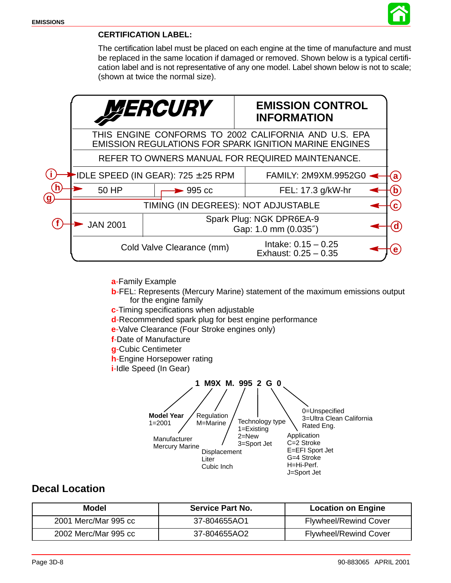

#### **CERTIFICATION LABEL:**

The certification label must be placed on each engine at the time of manufacture and must be replaced in the same location if damaged or removed. Shown below is a typical certification label and is not representative of any one model. Label shown below is not to scale; (shown at twice the normal size).

|    |                                                                                                                       | <i><b>MERCURY</b></i>                                     | <b>EMISSION CONTROL</b><br><b>INFORMATION</b>   |  |  |  |
|----|-----------------------------------------------------------------------------------------------------------------------|-----------------------------------------------------------|-------------------------------------------------|--|--|--|
|    | THIS ENGINE CONFORMS TO 2002 CALIFORNIA AND U.S. EPA<br><b>EMISSION REGULATIONS FOR SPARK IGNITION MARINE ENGINES</b> |                                                           |                                                 |  |  |  |
|    | REFER TO OWNERS MANUAL FOR REQUIRED MAINTENANCE.                                                                      |                                                           |                                                 |  |  |  |
|    |                                                                                                                       | <b>-IDLE SPEED (IN GEAR): 725 <math>\pm</math> 25 RPM</b> | FAMILY: 2M9XM.9952G0                            |  |  |  |
|    | 50 HP<br>$\blacktriangleright$ 995 cc                                                                                 |                                                           | FEL: 17.3 g/kW-hr                               |  |  |  |
| (g | TIMING (IN DEGREES): NOT ADJUSTABLE                                                                                   |                                                           |                                                 |  |  |  |
|    | <b>JAN 2001</b>                                                                                                       | Spark Plug: NGK DPR6EA-9<br>Gap: 1.0 mm (0.035")          |                                                 |  |  |  |
|    |                                                                                                                       | Cold Valve Clearance (mm)                                 | Intake: $0.15 - 0.25$<br>Exhaust: $0.25 - 0.35$ |  |  |  |

**a**-Family Example

- **b**-FEL: Represents (Mercury Marine) statement of the maximum emissions output for the engine family
- **c**-Timing specifications when adjustable
- **d**-Recommended spark plug for best engine performance
- **e**-Valve Clearance (Four Stroke engines only)
- **f**-Date of Manufacture
- **g**-Cubic Centimeter
- **h**-Engine Horsepower rating
- **i**-Idle Speed (In Gear)



### **Decal Location**

| Model                | <b>Service Part No.</b> | <b>Location on Engine</b>    |
|----------------------|-------------------------|------------------------------|
| 2001 Merc/Mar 995 cc | 37-804655AO1            | <b>Flywheel/Rewind Cover</b> |
| 2002 Merc/Mar 995 cc | 37-804655AO2            | <b>Flywheel/Rewind Cover</b> |